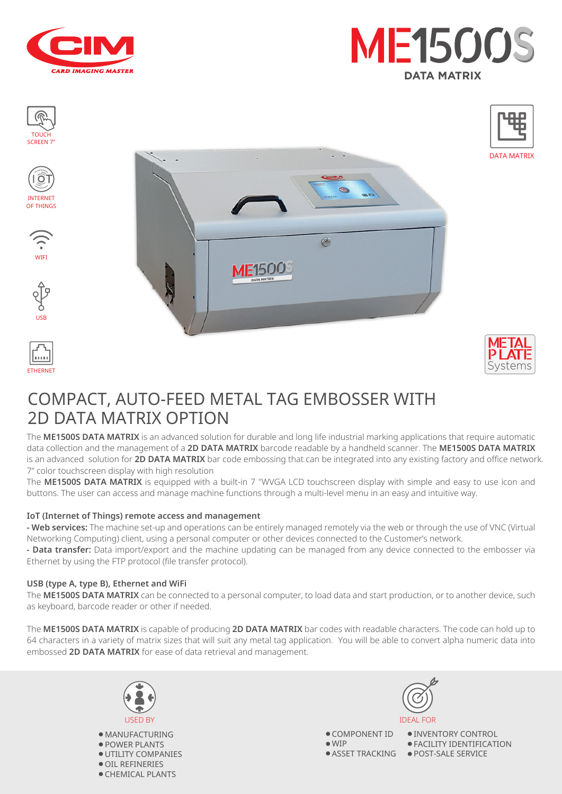



















## COMPACT, AUTO-FEED METAL TAG EMBOSSER WITH 2D DATA MATRIX OPTION

The **ME1500S DATA MATRIX** is an advanced solution for durable and long life industrial marking applications that require automatic data collection and the management of a **2D DATA MATRIX** barcode readable by a handheld scanner. The **ME1500S DATA MATRIX** is an advanced solution for **2D DATA MATRIX** bar code embossing that can be integrated into any existing factory and office network. 7" color touchscreen display with high resolution

 $\circ$ 

The **ME1500S DATA MATRIX** is equipped with a built-in 7 "WVGA LCD touchscreen display with simple and easy to use icon and buttons. The user can access and manage machine functions through a multi-level menu in an easy and intuitive way.

#### **IoT (Internet of Things) remote access and management**

**- Web services:** The machine set-up and operations can be entirely managed remotely via the web or through the use of VNC (Virtual Networking Computing) client, using a personal computer or other devices connected to the Customer's network.

**- Data transfer:** Data import/export and the machine updating can be managed from any device connected to the embosser via Ethernet by using the FTP protocol (file transfer protocol).

#### **USB (type A, type B), Ethernet and WiFi**

The **ME1500S DATA MATRIX** can be connected to a personal computer, to load data and start production, or to another device, such as keyboard, barcode reader or other if needed.

The **ME1500S DATA MATRIX** is capable of producing **2D DATA MATRIX** bar codes with readable characters. The code can hold up to 64 characters in a variety of matrix sizes that will suit any metal tag application. You will be able to convert alpha numeric data into embossed **2D DATA MATRIX** for ease of data retrieval and management.



● MANUFACTURING ● POWER PLANTS ● UTILITY COMPANIES ● OIL REFINERIES ● CHEMICAL PLANTS



● COMPONENT ID ● WIP ● ASSET TRACKING ● POST-SALE SERVICE

● INVENTORY CONTROL ● FACILITY IDENTIFICATION